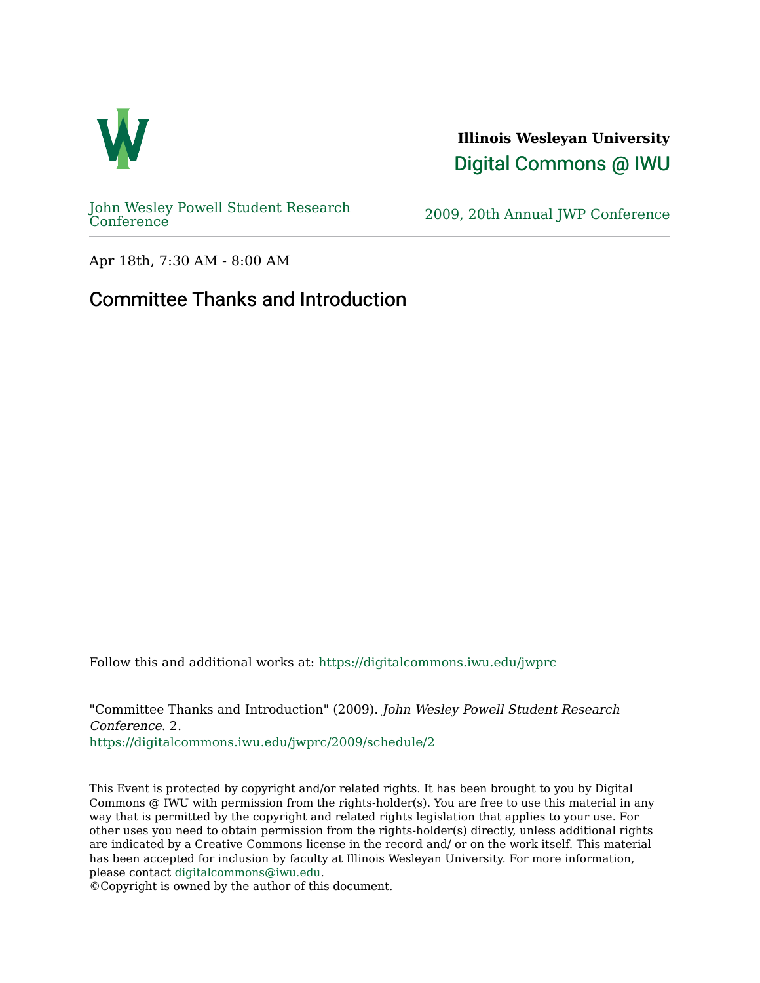

**Illinois Wesleyan University**  [Digital Commons @ IWU](https://digitalcommons.iwu.edu/) 

[John Wesley Powell Student Research](https://digitalcommons.iwu.edu/jwprc) 

2009, 20th Annual JWP [Conference](https://digitalcommons.iwu.edu/jwprc)

Apr 18th, 7:30 AM - 8:00 AM

## Committee Thanks and Introduction

Follow this and additional works at: [https://digitalcommons.iwu.edu/jwprc](https://digitalcommons.iwu.edu/jwprc?utm_source=digitalcommons.iwu.edu%2Fjwprc%2F2009%2Fschedule%2F2&utm_medium=PDF&utm_campaign=PDFCoverPages) 

"Committee Thanks and Introduction" (2009). John Wesley Powell Student Research Conference. 2.

[https://digitalcommons.iwu.edu/jwprc/2009/schedule/2](https://digitalcommons.iwu.edu/jwprc/2009/schedule/2?utm_source=digitalcommons.iwu.edu%2Fjwprc%2F2009%2Fschedule%2F2&utm_medium=PDF&utm_campaign=PDFCoverPages) 

This Event is protected by copyright and/or related rights. It has been brought to you by Digital Commons @ IWU with permission from the rights-holder(s). You are free to use this material in any way that is permitted by the copyright and related rights legislation that applies to your use. For other uses you need to obtain permission from the rights-holder(s) directly, unless additional rights are indicated by a Creative Commons license in the record and/ or on the work itself. This material has been accepted for inclusion by faculty at Illinois Wesleyan University. For more information, please contact [digitalcommons@iwu.edu.](mailto:digitalcommons@iwu.edu)

©Copyright is owned by the author of this document.